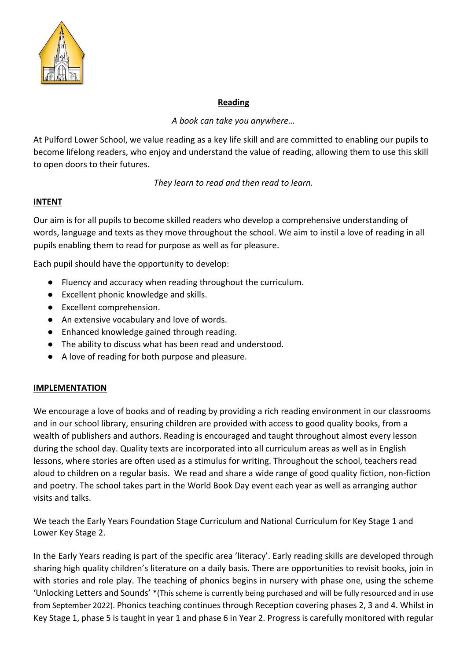

# **Reading**

*A book can take you anywhere…*

At Pulford Lower School, we value reading as a key life skill and are committed to enabling our pupils to become lifelong readers, who enjoy and understand the value of reading, allowing them to use this skill to open doors to their futures.

*They learn to read and then read to learn.*

# **INTENT**

Our aim is for all pupils to become skilled readers who develop a comprehensive understanding of words, language and texts as they move throughout the school. We aim to instil a love of reading in all pupils enabling them to read for purpose as well as for pleasure.

Each pupil should have the opportunity to develop:

- Fluency and accuracy when reading throughout the curriculum.
- Excellent phonic knowledge and skills.
- Excellent comprehension.
- An extensive vocabulary and love of words.
- Enhanced knowledge gained through reading.
- The ability to discuss what has been read and understood.
- A love of reading for both purpose and pleasure.

# **IMPLEMENTATION**

We encourage a love of books and of reading by providing a rich reading environment in our classrooms and in our school library, ensuring children are provided with access to good quality books, from a wealth of publishers and authors. Reading is encouraged and taught throughout almost every lesson during the school day. Quality texts are incorporated into all curriculum areas as well as in English lessons, where stories are often used as a stimulus for writing. Throughout the school, teachers read aloud to children on a regular basis. We read and share a wide range of good quality fiction, non-fiction and poetry. The school takes part in the World Book Day event each year as well as arranging author visits and talks.

We teach the Early Years Foundation Stage Curriculum and National Curriculum for Key Stage 1 and Lower Key Stage 2.

In the Early Years reading is part of the specific area 'literacy'. Early reading skills are developed through sharing high quality children's literature on a daily basis. There are opportunities to revisit books, join in with stories and role play. The teaching of phonics begins in nursery with phase one, using the scheme 'Unlocking Letters and Sounds' \*(This scheme is currently being purchased and will be fully resourced and in use from September 2022). Phonics teaching continues through Reception covering phases 2, 3 and 4. Whilst in Key Stage 1, phase 5 is taught in year 1 and phase 6 in Year 2. Progress is carefully monitored with regular